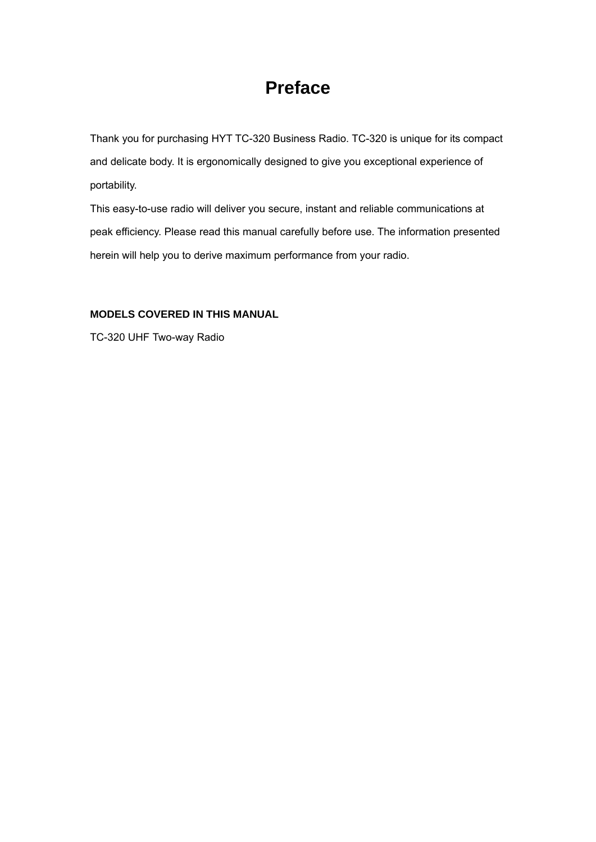## **Preface**

Thank you for purchasing HYT TC-320 Business Radio. TC-320 is unique for its compact and delicate body. It is ergonomically designed to give you exceptional experience of portability.

This easy-to-use radio will deliver you secure, instant and reliable communications at peak efficiency. Please read this manual carefully before use. The information presented herein will help you to derive maximum performance from your radio.

#### **MODELS COVERED IN THIS MANUAL**

TC-320 UHF Two-way Radio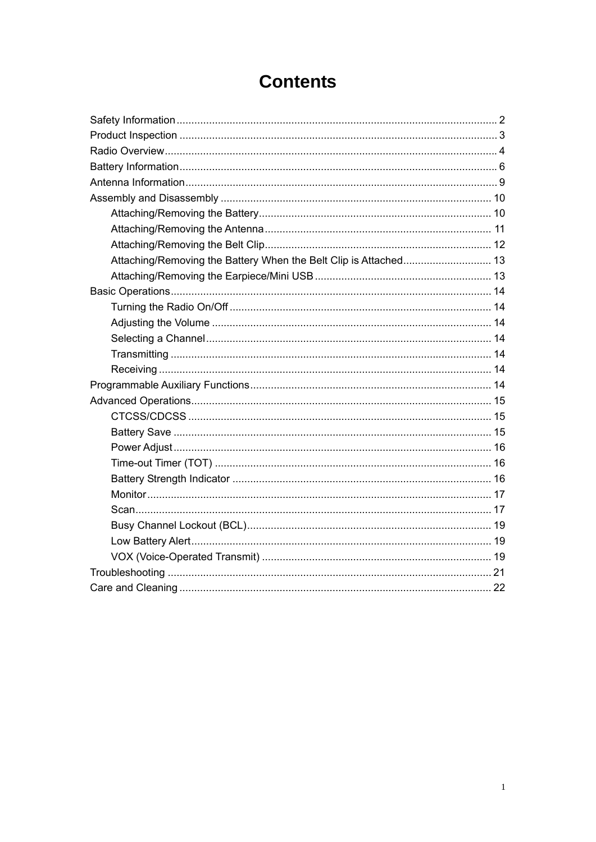## **Contents**

| Attaching/Removing the Battery When the Belt Clip is Attached 13 |  |
|------------------------------------------------------------------|--|
|                                                                  |  |
|                                                                  |  |
|                                                                  |  |
|                                                                  |  |
|                                                                  |  |
|                                                                  |  |
|                                                                  |  |
|                                                                  |  |
|                                                                  |  |
|                                                                  |  |
|                                                                  |  |
|                                                                  |  |
|                                                                  |  |
|                                                                  |  |
|                                                                  |  |
|                                                                  |  |
|                                                                  |  |
|                                                                  |  |
|                                                                  |  |
|                                                                  |  |
|                                                                  |  |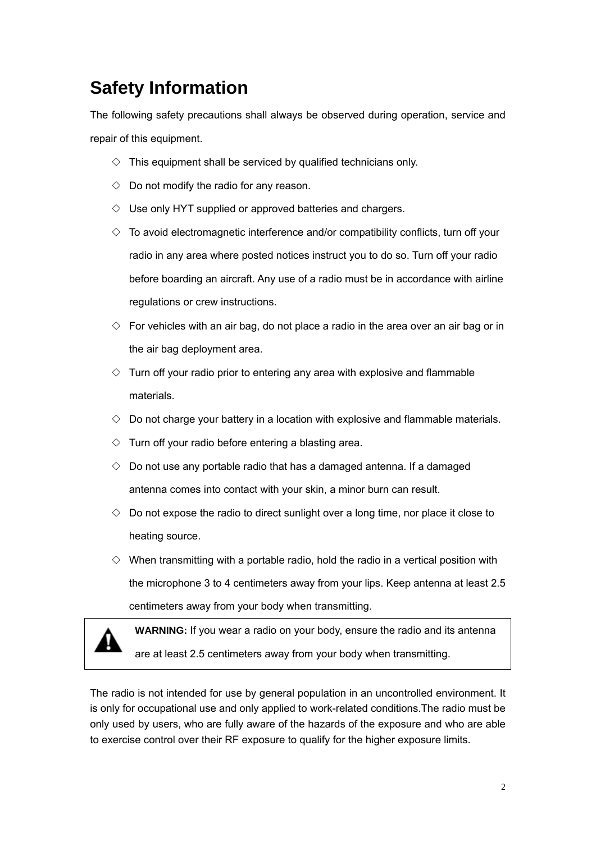## **Safety Information**

The following safety precautions shall always be observed during operation, service and repair of this equipment.

- $\Diamond$  This equipment shall be serviced by qualified technicians only.
- $\Diamond$  Do not modify the radio for any reason.
- $\diamond$  Use only HYT supplied or approved batteries and chargers.
- $\Diamond$  To avoid electromagnetic interference and/or compatibility conflicts, turn off your radio in any area where posted notices instruct you to do so. Turn off your radio before boarding an aircraft. Any use of a radio must be in accordance with airline regulations or crew instructions.
- $\diamond$  For vehicles with an air bag, do not place a radio in the area over an air bag or in the air bag deployment area.
- $\diamond$  Turn off your radio prior to entering any area with explosive and flammable materials.
- $\Diamond$  Do not charge your battery in a location with explosive and flammable materials.
- $\Diamond$  Turn off your radio before entering a blasting area.
- $\Diamond$  Do not use any portable radio that has a damaged antenna. If a damaged antenna comes into contact with your skin, a minor burn can result.
- $\Diamond$  Do not expose the radio to direct sunlight over a long time, nor place it close to heating source.
- $\diamond$  When transmitting with a portable radio, hold the radio in a vertical position with the microphone 3 to 4 centimeters away from your lips. Keep antenna at least 2.5 centimeters away from your body when transmitting.



**WARNING:** If you wear a radio on your body, ensure the radio and its antenna are at least 2.5 centimeters away from your body when transmitting.

The radio is not intended for use by general population in an uncontrolled environment. It is only for occupational use and only applied to work-related conditions.The radio must be only used by users, who are fully aware of the hazards of the exposure and who are able to exercise control over their RF exposure to qualify for the higher exposure limits.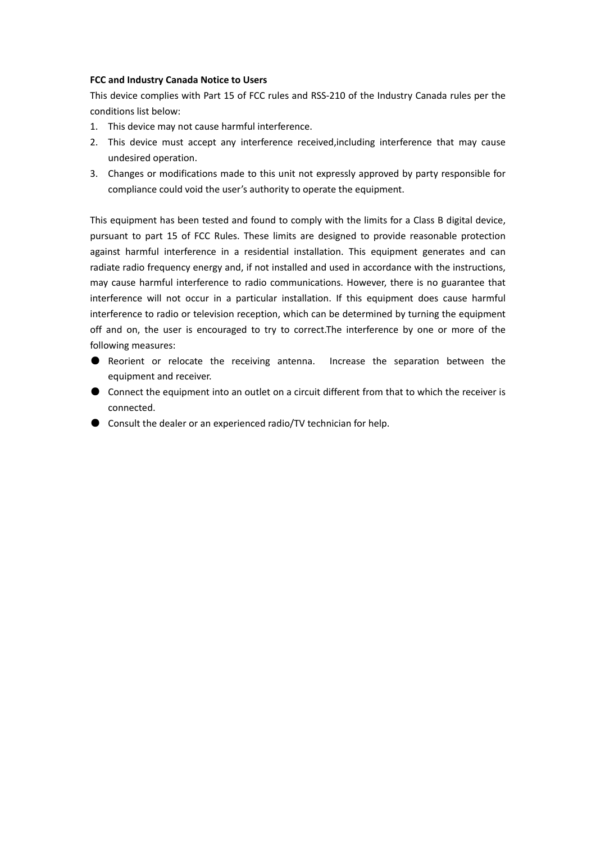#### **FCC and Industry Canada Notice to Users**

This device complies with Part 15 of FCC rules and RSS‐210 of the Industry Canada rules per the conditions list below:

- 1. This device may not cause harmful interference.
- 2. This device must accept any interference received,including interference that may cause undesired operation.
- 3. Changes or modifications made to this unit not expressly approved by party responsible for compliance could void the user's authority to operate the equipment.

This equipment has been tested and found to comply with the limits for a Class B digital device, pursuant to part 15 of FCC Rules. These limits are designed to provide reasonable protection against harmful interference in a residential installation. This equipment generates and can radiate radio frequency energy and, if not installed and used in accordance with the instructions, may cause harmful interference to radio communications. However, there is no guarantee that interference will not occur in a particular installation. If this equipment does cause harmful interference to radio or television reception, which can be determined by turning the equipment off and on, the user is encouraged to try to correct.The interference by one or more of the following measures:

- Reorient or relocate the receiving antenna. Increase the separation between the equipment and receiver.
- Connect the equipment into an outlet on a circuit different from that to which the receiver is connected.
- **Consult the dealer or an experienced radio/TV technician for help.**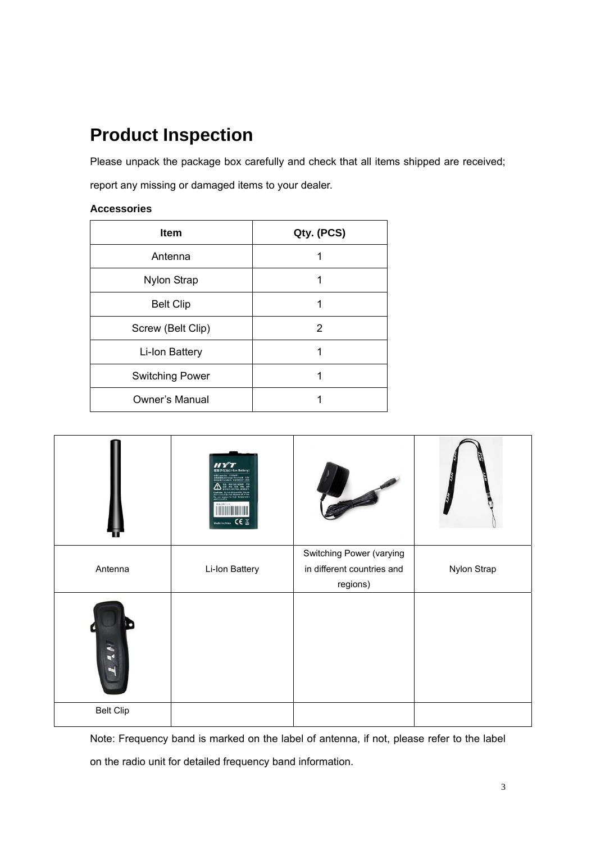# **Product Inspection**

Please unpack the package box carefully and check that all items shipped are received;

report any missing or damaged items to your dealer.

#### **Accessories**

| <b>Item</b>            | Qty. (PCS) |
|------------------------|------------|
| Antenna                |            |
| <b>Nylon Strap</b>     |            |
| <b>Belt Clip</b>       |            |
| Screw (Belt Clip)      | 2          |
| Li-Ion Battery         |            |
| <b>Switching Power</b> |            |
| <b>Owner's Manual</b>  |            |

|                  | 理离子电池(Li-Ion Battery)<br>1100mM<br>Charge Threshold: 425<br>ulariti - Gil/T18287-2000<br>Made in china CE X |                                                        |             |
|------------------|-------------------------------------------------------------------------------------------------------------|--------------------------------------------------------|-------------|
| Antenna          | Li-Ion Battery                                                                                              | Switching Power (varying<br>in different countries and | Nylon Strap |
|                  |                                                                                                             | regions)                                               |             |
| ◥                |                                                                                                             |                                                        |             |
| <b>Belt Clip</b> |                                                                                                             |                                                        |             |

Note: Frequency band is marked on the label of antenna, if not, please refer to the label on the radio unit for detailed frequency band information.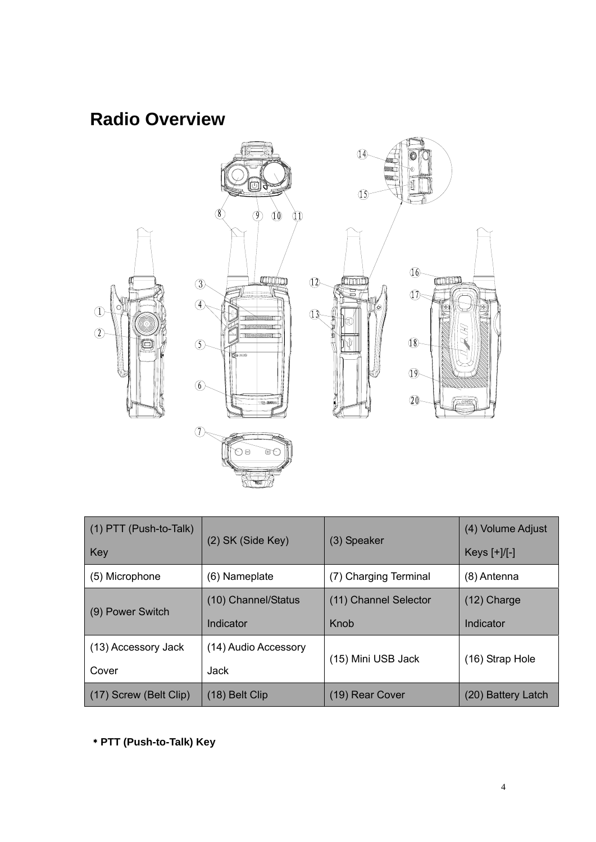## **Radio Overview**



| $(1)$ PTT (Push-to-Talk) | (2) SK (Side Key)    |                       | (4) Volume Adjust |
|--------------------------|----------------------|-----------------------|-------------------|
| Key                      |                      | (3) Speaker           | Keys $[+]/[-]$    |
| (5) Microphone           | (6) Nameplate        | (7) Charging Terminal | (8) Antenna       |
|                          | (10) Channel/Status  | (11) Channel Selector | $(12)$ Charge     |
| (9) Power Switch         |                      |                       |                   |
|                          | Indicator            | Knob                  | Indicator         |
| (13) Accessory Jack      | (14) Audio Accessory |                       |                   |
| Cover                    | Jack                 | (15) Mini USB Jack    | (16) Strap Hole   |

﹡**PTT (Push-to-Talk) Key**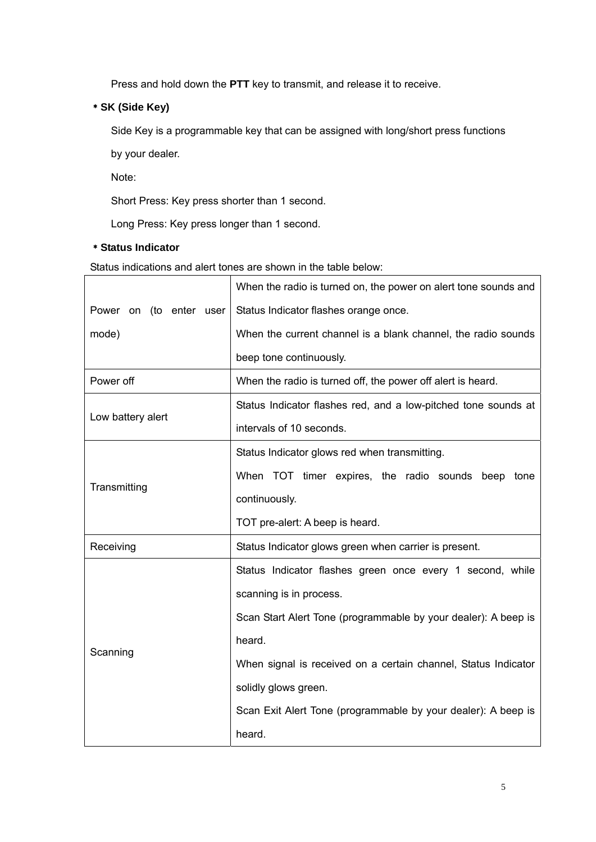Press and hold down the **PTT** key to transmit, and release it to receive.

## ﹡**SK (Side Key)**

Side Key is a programmable key that can be assigned with long/short press functions

by your dealer.

Note:

Short Press: Key press shorter than 1 second.

Long Press: Key press longer than 1 second.

### ﹡**Status Indicator**

Status indications and alert tones are shown in the table below:

|                                                                    | When the radio is turned on, the power on alert tone sounds and |
|--------------------------------------------------------------------|-----------------------------------------------------------------|
| Power on (to enter user                                            | Status Indicator flashes orange once.                           |
| mode)                                                              | When the current channel is a blank channel, the radio sounds   |
|                                                                    | beep tone continuously.                                         |
| Power off                                                          | When the radio is turned off, the power off alert is heard.     |
|                                                                    | Status Indicator flashes red, and a low-pitched tone sounds at  |
| Low battery alert                                                  | intervals of 10 seconds.                                        |
|                                                                    | Status Indicator glows red when transmitting.                   |
|                                                                    | When TOT timer expires, the radio sounds beep tone              |
| Transmitting                                                       | continuously.                                                   |
|                                                                    | TOT pre-alert: A beep is heard.                                 |
| Status Indicator glows green when carrier is present.<br>Receiving |                                                                 |
|                                                                    | Status Indicator flashes green once every 1 second, while       |
|                                                                    | scanning is in process.                                         |
|                                                                    | Scan Start Alert Tone (programmable by your dealer): A beep is  |
| Scanning                                                           | heard.                                                          |
|                                                                    | When signal is received on a certain channel, Status Indicator  |
|                                                                    | solidly glows green.                                            |
|                                                                    | Scan Exit Alert Tone (programmable by your dealer): A beep is   |
|                                                                    | heard.                                                          |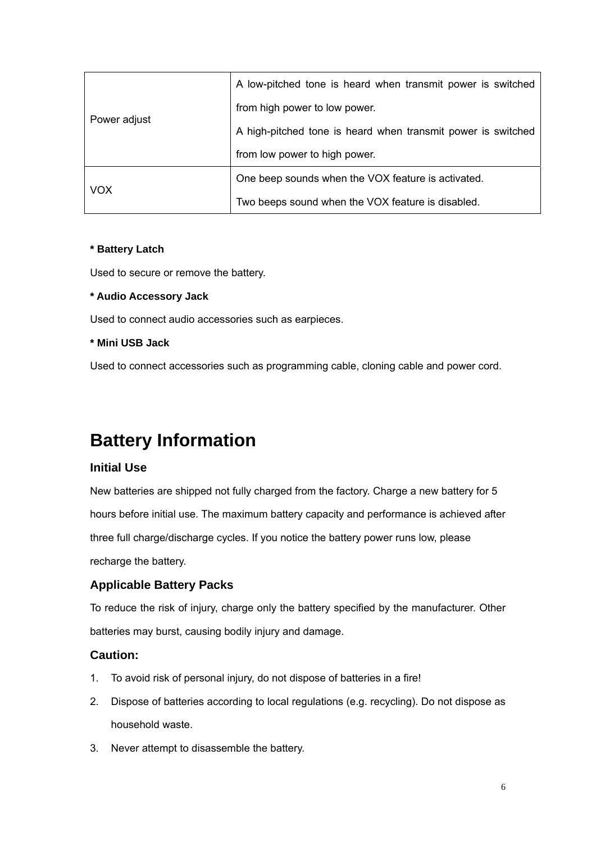|              | A low-pitched tone is heard when transmit power is switched  |
|--------------|--------------------------------------------------------------|
|              | from high power to low power.                                |
| Power adjust | A high-pitched tone is heard when transmit power is switched |
|              | from low power to high power.                                |
|              | One beep sounds when the VOX feature is activated.           |
| <b>VOX</b>   | Two beeps sound when the VOX feature is disabled.            |

#### **\* Battery Latch**

Used to secure or remove the battery.

#### **\* Audio Accessory Jack**

Used to connect audio accessories such as earpieces.

#### **\* Mini USB Jack**

Used to connect accessories such as programming cable, cloning cable and power cord.

## **Battery Information**

#### **Initial Use**

New batteries are shipped not fully charged from the factory. Charge a new battery for 5 hours before initial use. The maximum battery capacity and performance is achieved after three full charge/discharge cycles. If you notice the battery power runs low, please recharge the battery.

### **Applicable Battery Packs**

To reduce the risk of injury, charge only the battery specified by the manufacturer. Other batteries may burst, causing bodily injury and damage.

#### **Caution:**

- 1. To avoid risk of personal injury, do not dispose of batteries in a fire!
- 2. Dispose of batteries according to local regulations (e.g. recycling). Do not dispose as household waste.
- 3. Never attempt to disassemble the battery.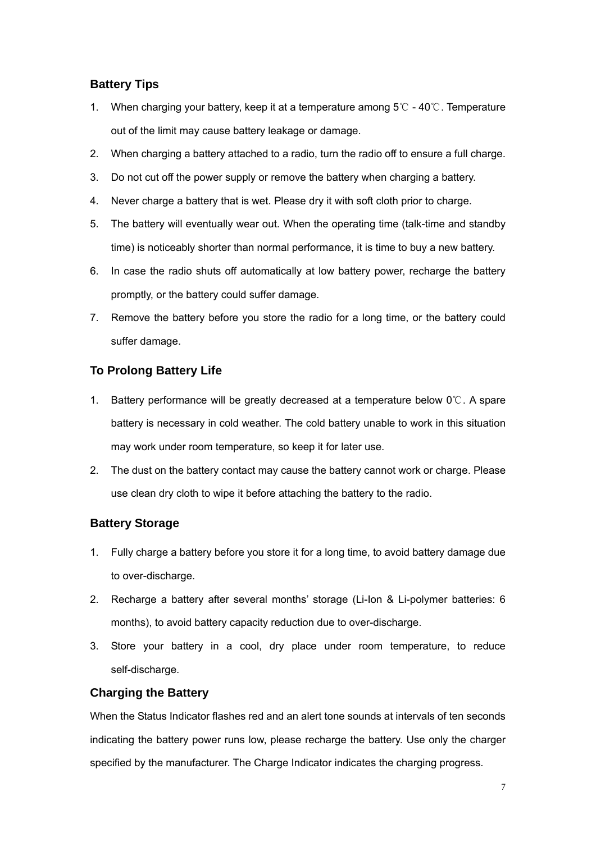## **Battery Tips**

- 1. When charging your battery, keep it at a temperature among 5 ℃ 40 ℃. Temperature out of the limit may cause battery leakage or damage.
- 2. When charging a battery attached to a radio, turn the radio off to ensure a full charge.
- 3. Do not cut off the power supply or remove the battery when charging a battery.
- 4. Never charge a battery that is wet. Please dry it with soft cloth prior to charge.
- 5. The battery will eventually wear out. When the operating time (talk-time and standby time) is noticeably shorter than normal performance, it is time to buy a new battery.
- 6. In case the radio shuts off automatically at low battery power, recharge the battery promptly, or the battery could suffer damage.
- 7. Remove the battery before you store the radio for a long time, or the battery could suffer damage.

## **To Prolong Battery Life**

- 1. Battery performance will be greatly decreased at a temperature below 0 °C. A spare battery is necessary in cold weather. The cold battery unable to work in this situation may work under room temperature, so keep it for later use.
- 2. The dust on the battery contact may cause the battery cannot work or charge. Please use clean dry cloth to wipe it before attaching the battery to the radio.

## **Battery Storage**

- 1. Fully charge a battery before you store it for a long time, to avoid battery damage due to over-discharge.
- 2. Recharge a battery after several months' storage (Li-Ion & Li-polymer batteries: 6 months), to avoid battery capacity reduction due to over-discharge.
- 3. Store your battery in a cool, dry place under room temperature, to reduce self-discharge.

### **Charging the Battery**

When the Status Indicator flashes red and an alert tone sounds at intervals of ten seconds indicating the battery power runs low, please recharge the battery. Use only the charger specified by the manufacturer. The Charge Indicator indicates the charging progress.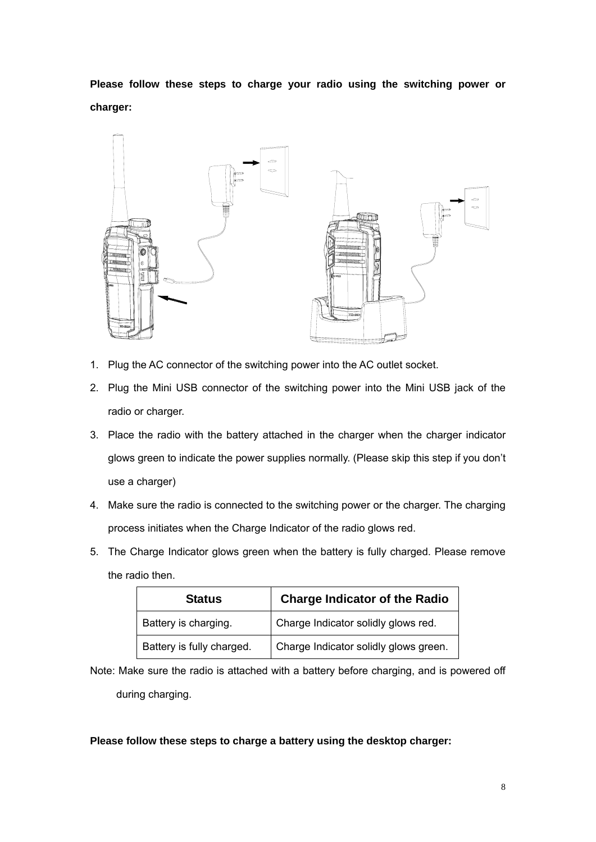**Please follow these steps to charge your radio using the switching power or charger:** 



- 1. Plug the AC connector of the switching power into the AC outlet socket.
- 2. Plug the Mini USB connector of the switching power into the Mini USB jack of the radio or charger.
- 3. Place the radio with the battery attached in the charger when the charger indicator glows green to indicate the power supplies normally. (Please skip this step if you don't use a charger)
- 4. Make sure the radio is connected to the switching power or the charger. The charging process initiates when the Charge Indicator of the radio glows red.
- 5. The Charge Indicator glows green when the battery is fully charged. Please remove the radio then.

| <b>Status</b>             | <b>Charge Indicator of the Radio</b>  |
|---------------------------|---------------------------------------|
| Battery is charging.      | Charge Indicator solidly glows red.   |
| Battery is fully charged. | Charge Indicator solidly glows green. |

Note: Make sure the radio is attached with a battery before charging, and is powered off during charging.

**Please follow these steps to charge a battery using the desktop charger:**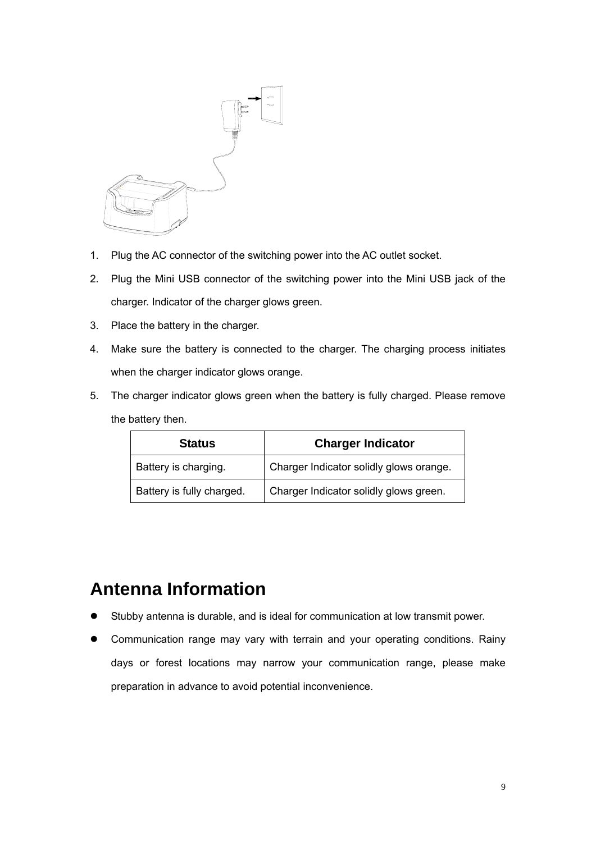

- 1. Plug the AC connector of the switching power into the AC outlet socket.
- 2. Plug the Mini USB connector of the switching power into the Mini USB jack of the charger. Indicator of the charger glows green.
- 3. Place the battery in the charger.
- 4. Make sure the battery is connected to the charger. The charging process initiates when the charger indicator glows orange.
- 5. The charger indicator glows green when the battery is fully charged. Please remove the battery then.

| <b>Status</b>             | <b>Charger Indicator</b>                |
|---------------------------|-----------------------------------------|
| Battery is charging.      | Charger Indicator solidly glows orange. |
| Battery is fully charged. | Charger Indicator solidly glows green.  |

## **Antenna Information**

- Stubby antenna is durable, and is ideal for communication at low transmit power.
- Communication range may vary with terrain and your operating conditions. Rainy days or forest locations may narrow your communication range, please make preparation in advance to avoid potential inconvenience.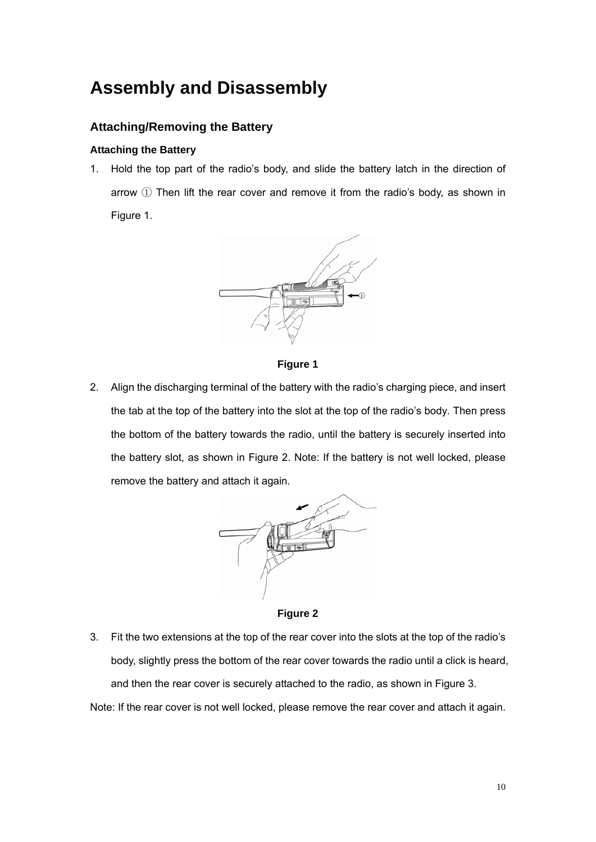## **Assembly and Disassembly**

## **Attaching/Removing the Battery**

#### **Attaching the Battery**

1. Hold the top part of the radio's body, and slide the battery latch in the direction of arrow ① Then lift the rear cover and remove it from the radio's body, as shown in Figure 1.



**Figure 1**

2. Align the discharging terminal of the battery with the radio's charging piece, and insert the tab at the top of the battery into the slot at the top of the radio's body. Then press the bottom of the battery towards the radio, until the battery is securely inserted into the battery slot, as shown in Figure 2. Note: If the battery is not well locked, please remove the battery and attach it again.



**Figure 2**

3. Fit the two extensions at the top of the rear cover into the slots at the top of the radio's body, slightly press the bottom of the rear cover towards the radio until a click is heard, and then the rear cover is securely attached to the radio, as shown in Figure 3.

Note: If the rear cover is not well locked, please remove the rear cover and attach it again.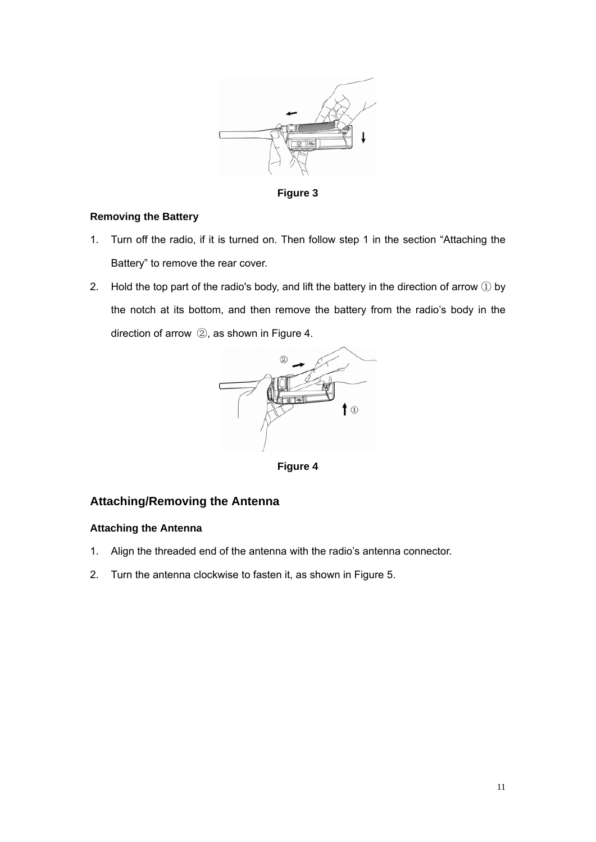

**Figure 3** 

#### **Removing the Battery**

- 1. Turn off the radio, if it is turned on. Then follow step 1 in the section "Attaching the Battery" to remove the rear cover.
- 2. Hold the top part of the radio's body, and lift the battery in the direction of arrow  $\overline{1}$  by the notch at its bottom, and then remove the battery from the radio's body in the direction of arrow ②, as shown in Figure 4.



**Figure 4**

### **Attaching/Removing the Antenna**

#### **Attaching the Antenna**

- 1. Align the threaded end of the antenna with the radio's antenna connector.
- 2. Turn the antenna clockwise to fasten it, as shown in Figure 5.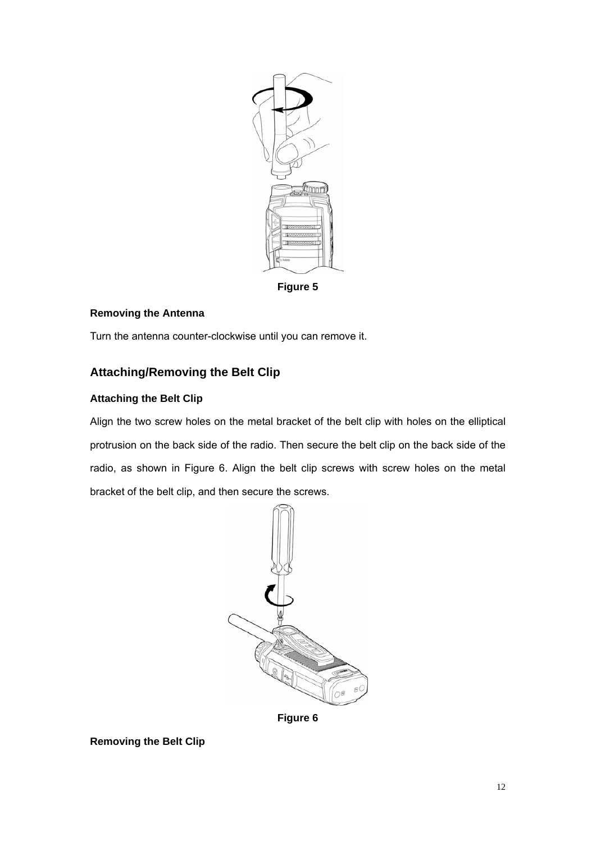

**Figure 5**

### **Removing the Antenna**

Turn the antenna counter-clockwise until you can remove it.

## **Attaching/Removing the Belt Clip**

### **Attaching the Belt Clip**

Align the two screw holes on the metal bracket of the belt clip with holes on the elliptical protrusion on the back side of the radio. Then secure the belt clip on the back side of the radio, as shown in Figure 6. Align the belt clip screws with screw holes on the metal bracket of the belt clip, and then secure the screws.



**Figure 6**

**Removing the Belt Clip**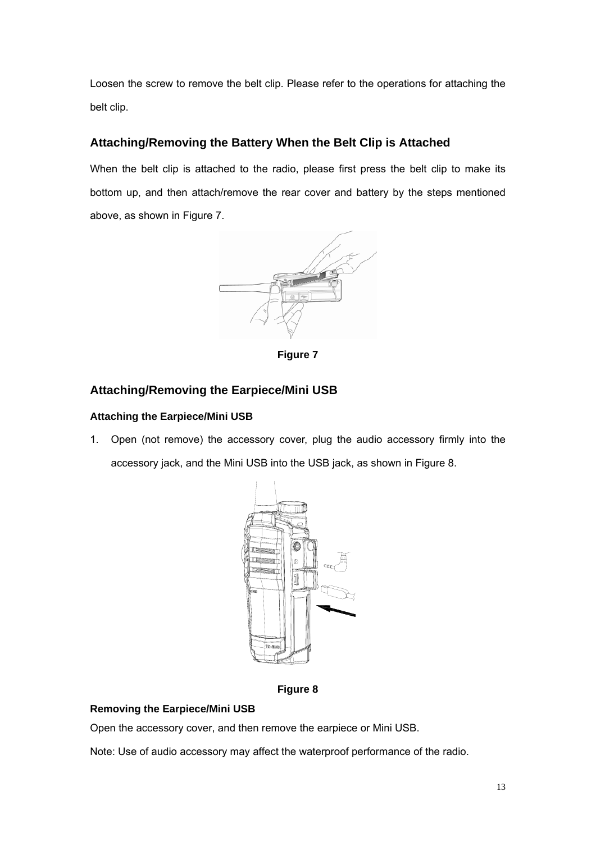Loosen the screw to remove the belt clip. Please refer to the operations for attaching the belt clip.

## **Attaching/Removing the Battery When the Belt Clip is Attached**

When the belt clip is attached to the radio, please first press the belt clip to make its bottom up, and then attach/remove the rear cover and battery by the steps mentioned above, as shown in Figure 7.



**Figure 7**

## **Attaching/Removing the Earpiece/Mini USB**

### **Attaching the Earpiece/Mini USB**

1. Open (not remove) the accessory cover, plug the audio accessory firmly into the accessory jack, and the Mini USB into the USB jack, as shown in Figure 8.



**Figure 8** 

### **Removing the Earpiece/Mini USB**

Open the accessory cover, and then remove the earpiece or Mini USB.

Note: Use of audio accessory may affect the waterproof performance of the radio.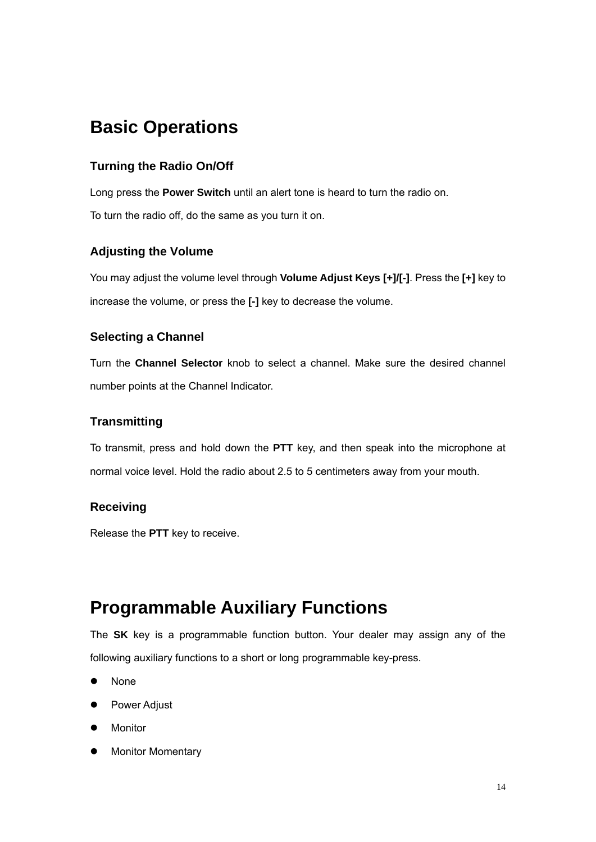## **Basic Operations**

## **Turning the Radio On/Off**

Long press the **Power Switch** until an alert tone is heard to turn the radio on.

To turn the radio off, do the same as you turn it on.

## **Adjusting the Volume**

You may adjust the volume level through **Volume Adjust Keys [+]/[-]**. Press the **[+]** key to increase the volume, or press the **[-]** key to decrease the volume.

## **Selecting a Channel**

Turn the **Channel Selector** knob to select a channel. Make sure the desired channel number points at the Channel Indicator.

## **Transmitting**

To transmit, press and hold down the **PTT** key, and then speak into the microphone at normal voice level. Hold the radio about 2.5 to 5 centimeters away from your mouth.

## **Receiving**

Release the **PTT** key to receive.

## **Programmable Auxiliary Functions**

The **SK** key is a programmable function button. Your dealer may assign any of the following auxiliary functions to a short or long programmable key-press.

- None
- Power Adjust
- **Monitor**
- Monitor Momentary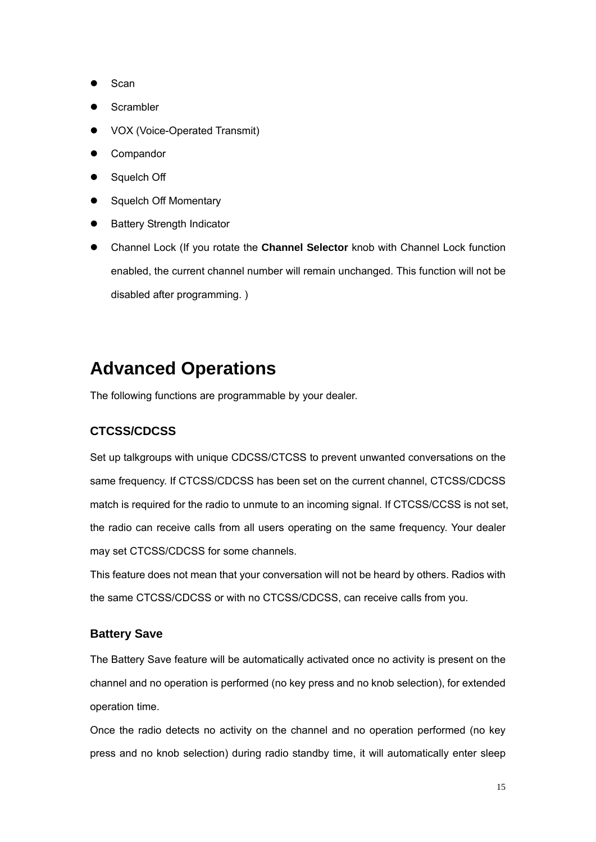- Scan
- **Scrambler**
- VOX (Voice-Operated Transmit)
- **Compandor**
- Squelch Off
- Squelch Off Momentary
- **Battery Strength Indicator**
- Channel Lock (If you rotate the **Channel Selector** knob with Channel Lock function enabled, the current channel number will remain unchanged. This function will not be disabled after programming. )

## **Advanced Operations**

The following functions are programmable by your dealer.

## **CTCSS/CDCSS**

Set up talkgroups with unique CDCSS/CTCSS to prevent unwanted conversations on the same frequency. If CTCSS/CDCSS has been set on the current channel, CTCSS/CDCSS match is required for the radio to unmute to an incoming signal. If CTCSS/CCSS is not set, the radio can receive calls from all users operating on the same frequency. Your dealer may set CTCSS/CDCSS for some channels.

This feature does not mean that your conversation will not be heard by others. Radios with the same CTCSS/CDCSS or with no CTCSS/CDCSS, can receive calls from you.

### **Battery Save**

The Battery Save feature will be automatically activated once no activity is present on the channel and no operation is performed (no key press and no knob selection), for extended operation time.

Once the radio detects no activity on the channel and no operation performed (no key press and no knob selection) during radio standby time, it will automatically enter sleep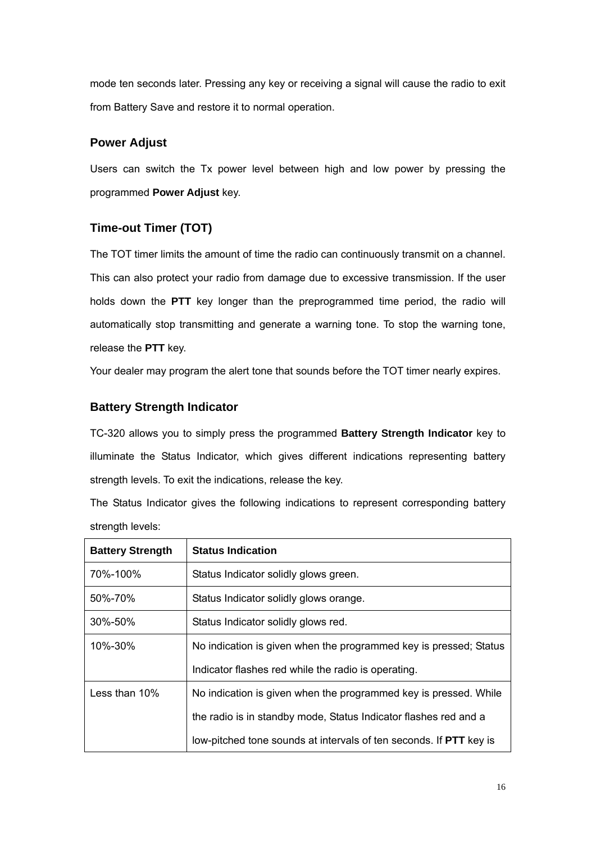mode ten seconds later. Pressing any key or receiving a signal will cause the radio to exit from Battery Save and restore it to normal operation.

### **Power Adjust**

Users can switch the Tx power level between high and low power by pressing the programmed **Power Adjust** key.

## **Time-out Timer (TOT)**

The TOT timer limits the amount of time the radio can continuously transmit on a channel. This can also protect your radio from damage due to excessive transmission. If the user holds down the **PTT** key longer than the preprogrammed time period, the radio will automatically stop transmitting and generate a warning tone. To stop the warning tone, release the **PTT** key.

Your dealer may program the alert tone that sounds before the TOT timer nearly expires.

## **Battery Strength Indicator**

TC-320 allows you to simply press the programmed **Battery Strength Indicator** key to illuminate the Status Indicator, which gives different indications representing battery strength levels. To exit the indications, release the key.

The Status Indicator gives the following indications to represent corresponding battery strength levels:

| <b>Battery Strength</b> | <b>Status Indication</b>                                                  |
|-------------------------|---------------------------------------------------------------------------|
| 70%-100%                | Status Indicator solidly glows green.                                     |
| 50%-70%                 | Status Indicator solidly glows orange.                                    |
| 30%-50%                 | Status Indicator solidly glows red.                                       |
| 10%-30%                 | No indication is given when the programmed key is pressed; Status         |
|                         | Indicator flashes red while the radio is operating.                       |
| Less than $10\%$        | No indication is given when the programmed key is pressed. While          |
|                         | the radio is in standby mode, Status Indicator flashes red and a          |
|                         | low-pitched tone sounds at intervals of ten seconds. If <b>PTT</b> key is |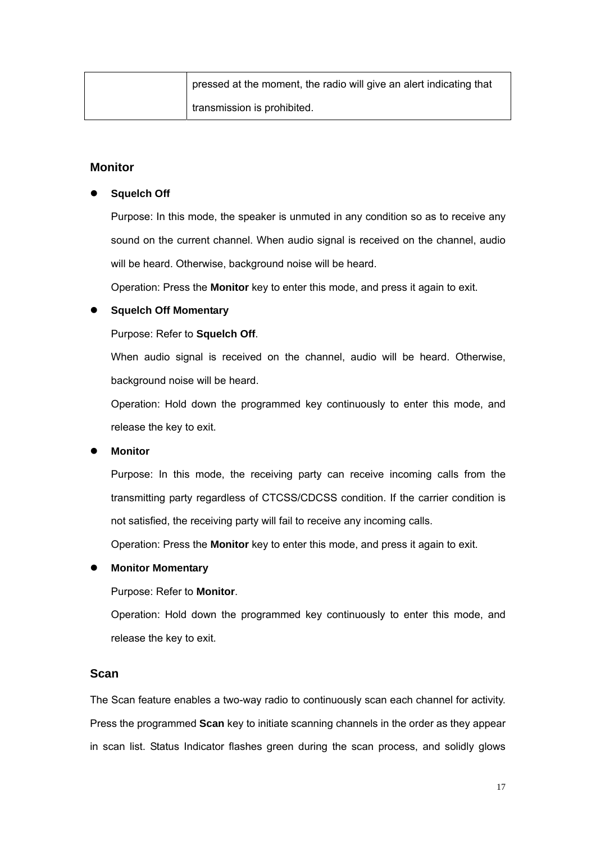|  | pressed at the moment, the radio will give an alert indicating that |
|--|---------------------------------------------------------------------|
|  | I transmission is prohibited.                                       |

#### **Monitor**

#### **Squelch Off**

Purpose: In this mode, the speaker is unmuted in any condition so as to receive any sound on the current channel. When audio signal is received on the channel, audio will be heard. Otherwise, background noise will be heard.

Operation: Press the **Monitor** key to enter this mode, and press it again to exit.

#### **Squelch Off Momentary**

Purpose: Refer to **Squelch Off**.

When audio signal is received on the channel, audio will be heard. Otherwise, background noise will be heard.

Operation: Hold down the programmed key continuously to enter this mode, and release the key to exit.

#### **Monitor**

Purpose: In this mode, the receiving party can receive incoming calls from the transmitting party regardless of CTCSS/CDCSS condition. If the carrier condition is not satisfied, the receiving party will fail to receive any incoming calls.

Operation: Press the **Monitor** key to enter this mode, and press it again to exit.

#### **Monitor Momentary**

Purpose: Refer to **Monitor**.

Operation: Hold down the programmed key continuously to enter this mode, and release the key to exit.

#### **Scan**

The Scan feature enables a two-way radio to continuously scan each channel for activity. Press the programmed **Scan** key to initiate scanning channels in the order as they appear in scan list. Status Indicator flashes green during the scan process, and solidly glows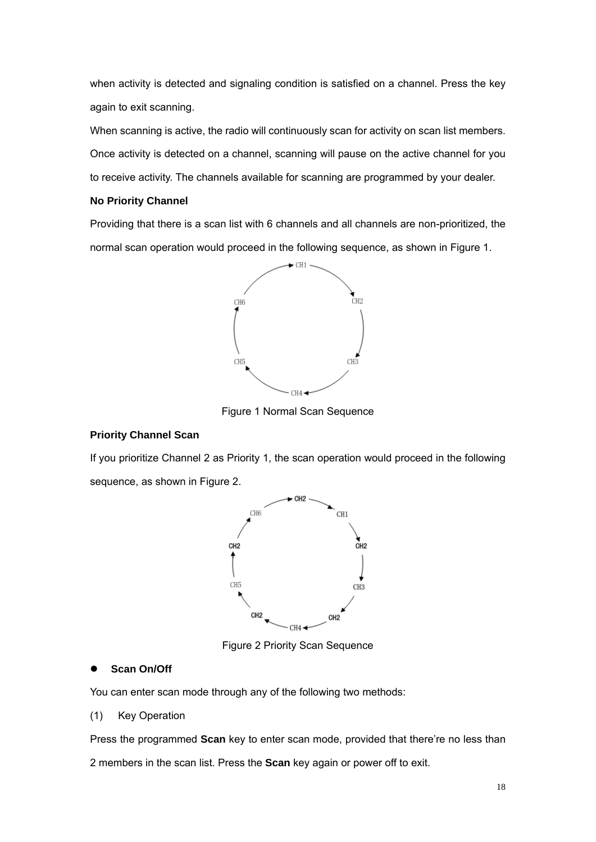when activity is detected and signaling condition is satisfied on a channel. Press the key again to exit scanning.

When scanning is active, the radio will continuously scan for activity on scan list members. Once activity is detected on a channel, scanning will pause on the active channel for you to receive activity. The channels available for scanning are programmed by your dealer.

#### **No Priority Channel**

Providing that there is a scan list with 6 channels and all channels are non-prioritized, the normal scan operation would proceed in the following sequence, as shown in Figure 1.



Figure 1 Normal Scan Sequence

#### **Priority Channel Scan**

If you prioritize Channel 2 as Priority 1, the scan operation would proceed in the following sequence, as shown in Figure 2.



Figure 2 Priority Scan Sequence

#### **Scan On/Off**

You can enter scan mode through any of the following two methods:

#### (1) Key Operation

Press the programmed **Scan** key to enter scan mode, provided that there're no less than 2 members in the scan list. Press the **Scan** key again or power off to exit.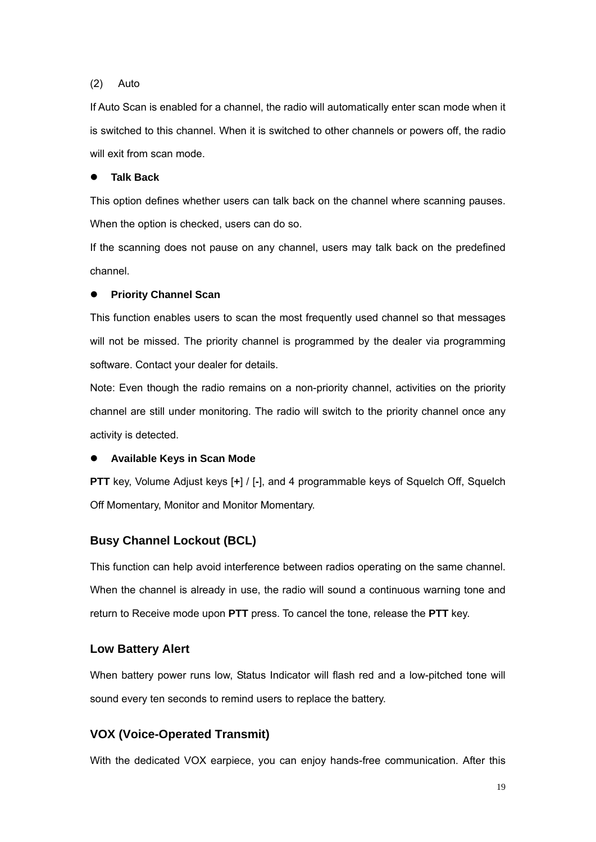#### (2) Auto

If Auto Scan is enabled for a channel, the radio will automatically enter scan mode when it is switched to this channel. When it is switched to other channels or powers off, the radio will exit from scan mode.

#### **Talk Back**

This option defines whether users can talk back on the channel where scanning pauses. When the option is checked, users can do so.

If the scanning does not pause on any channel, users may talk back on the predefined channel.

#### **Priority Channel Scan**

This function enables users to scan the most frequently used channel so that messages will not be missed. The priority channel is programmed by the dealer via programming software. Contact your dealer for details.

Note: Even though the radio remains on a non-priority channel, activities on the priority channel are still under monitoring. The radio will switch to the priority channel once any activity is detected.

#### **• Available Keys in Scan Mode**

**PTT** key, Volume Adjust keys [**+**] / [**-**], and 4 programmable keys of Squelch Off, Squelch Off Momentary, Monitor and Monitor Momentary.

### **Busy Channel Lockout (BCL)**

This function can help avoid interference between radios operating on the same channel. When the channel is already in use, the radio will sound a continuous warning tone and return to Receive mode upon **PTT** press. To cancel the tone, release the **PTT** key.

## **Low Battery Alert**

When battery power runs low, Status Indicator will flash red and a low-pitched tone will sound every ten seconds to remind users to replace the battery.

## **VOX (Voice-Operated Transmit)**

With the dedicated VOX earpiece, you can enjoy hands-free communication. After this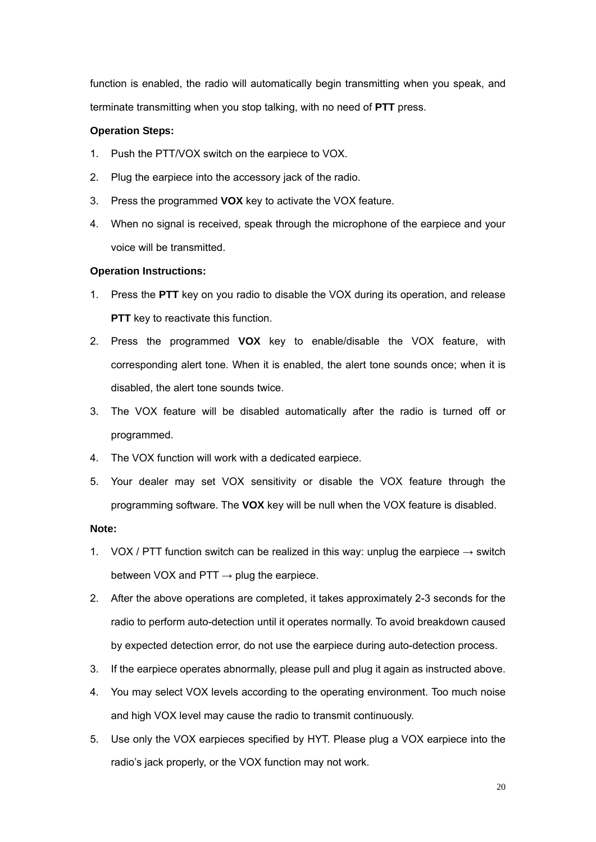function is enabled, the radio will automatically begin transmitting when you speak, and terminate transmitting when you stop talking, with no need of **PTT** press.

#### **Operation Steps:**

- 1. Push the PTT/VOX switch on the earpiece to VOX.
- 2. Plug the earpiece into the accessory jack of the radio.
- 3. Press the programmed **VOX** key to activate the VOX feature.
- 4. When no signal is received, speak through the microphone of the earpiece and your voice will be transmitted.

#### **Operation Instructions:**

- 1. Press the **PTT** key on you radio to disable the VOX during its operation, and release **PTT** key to reactivate this function.
- 2. Press the programmed **VOX** key to enable/disable the VOX feature, with corresponding alert tone. When it is enabled, the alert tone sounds once; when it is disabled, the alert tone sounds twice.
- 3. The VOX feature will be disabled automatically after the radio is turned off or programmed.
- 4. The VOX function will work with a dedicated earpiece.
- 5. Your dealer may set VOX sensitivity or disable the VOX feature through the programming software. The **VOX** key will be null when the VOX feature is disabled.

#### **Note:**

- 1. VOX / PTT function switch can be realized in this way: unplug the earpiece  $\rightarrow$  switch between VOX and PTT  $\rightarrow$  plug the earpiece.
- 2. After the above operations are completed, it takes approximately 2-3 seconds for the radio to perform auto-detection until it operates normally. To avoid breakdown caused by expected detection error, do not use the earpiece during auto-detection process.
- 3. If the earpiece operates abnormally, please pull and plug it again as instructed above.
- 4. You may select VOX levels according to the operating environment. Too much noise and high VOX level may cause the radio to transmit continuously.
- 5. Use only the VOX earpieces specified by HYT. Please plug a VOX earpiece into the radio's jack properly, or the VOX function may not work.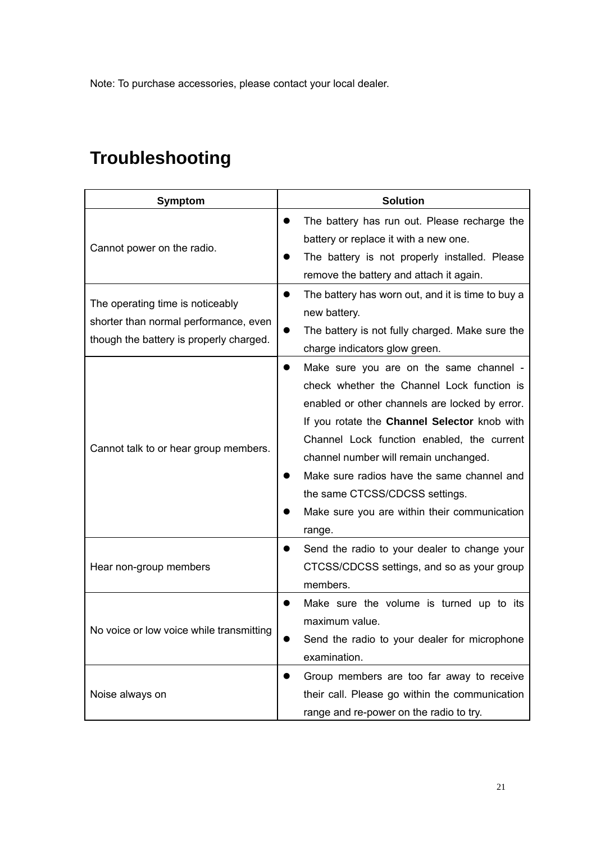Note: To purchase accessories, please contact your local dealer.

# **Troubleshooting**

| Symptom                                                                                                              | <b>Solution</b>                                                                                                                                                                                                                                                                                                                                                                                                          |
|----------------------------------------------------------------------------------------------------------------------|--------------------------------------------------------------------------------------------------------------------------------------------------------------------------------------------------------------------------------------------------------------------------------------------------------------------------------------------------------------------------------------------------------------------------|
| Cannot power on the radio.                                                                                           | The battery has run out. Please recharge the<br>battery or replace it with a new one.<br>The battery is not properly installed. Please<br>remove the battery and attach it again.                                                                                                                                                                                                                                        |
| The operating time is noticeably<br>shorter than normal performance, even<br>though the battery is properly charged. | The battery has worn out, and it is time to buy a<br>new battery.<br>The battery is not fully charged. Make sure the<br>●<br>charge indicators glow green.                                                                                                                                                                                                                                                               |
| Cannot talk to or hear group members.                                                                                | Make sure you are on the same channel -<br>check whether the Channel Lock function is<br>enabled or other channels are locked by error.<br>If you rotate the Channel Selector knob with<br>Channel Lock function enabled, the current<br>channel number will remain unchanged.<br>Make sure radios have the same channel and<br>the same CTCSS/CDCSS settings.<br>Make sure you are within their communication<br>range. |
| Hear non-group members                                                                                               | Send the radio to your dealer to change your<br>CTCSS/CDCSS settings, and so as your group<br>members.                                                                                                                                                                                                                                                                                                                   |
| No voice or low voice while transmitting                                                                             | Make sure the volume is turned up to its<br>maximum value.<br>Send the radio to your dealer for microphone<br>examination.                                                                                                                                                                                                                                                                                               |
| Noise always on                                                                                                      | Group members are too far away to receive<br>their call. Please go within the communication<br>range and re-power on the radio to try.                                                                                                                                                                                                                                                                                   |